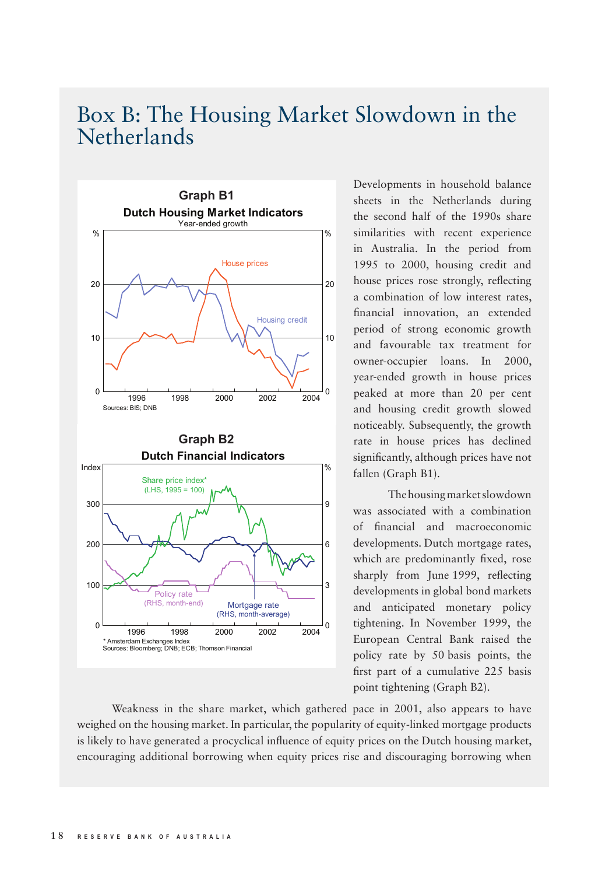## Box B: The Housing Market Slowdown in the Netherlands



Developments in household balance sheets in the Netherlands during the second half of the 1990s share similarities with recent experience in Australia. In the period from 1995 to 2000, housing credit and house prices rose strongly, reflecting a combination of low interest rates, financial innovation, an extended period of strong economic growth and favourable tax treatment for owner-occupier loans. In 2000, year-ended growth in house prices peaked at more than 20 per cent and housing credit growth slowed noticeably. Subsequently, the growth rate in house prices has declined significantly, although prices have not fallen (Graph B1).

The housing market slowdown was associated with a combination of financial and macroeconomic developments. Dutch mortgage rates, which are predominantly fixed, rose sharply from June 1999, reflecting developments in global bond markets and anticipated monetary policy tightening. In November 1999, the European Central Bank raised the policy rate by 50 basis points, the first part of a cumulative 225 basis point tightening (Graph B2).

Weakness in the share market, which gathered pace in 2001, also appears to have weighed on the housing market. In particular, the popularity of equity-linked mortgage products is likely to have generated a procyclical influence of equity prices on the Dutch housing market, encouraging additional borrowing when equity prices rise and discouraging borrowing when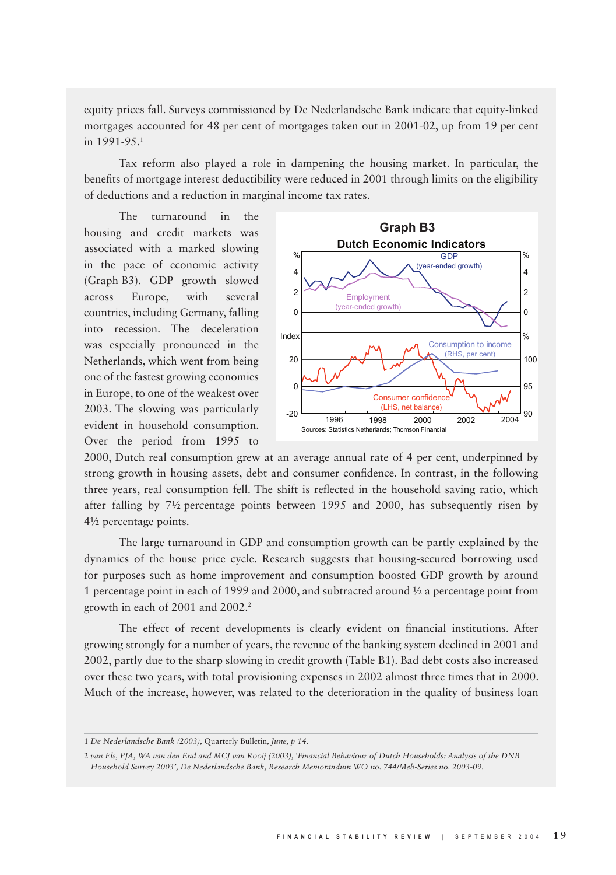equity prices fall. Surveys commissioned by De Nederlandsche Bank indicate that equity-linked mortgages accounted for 48 per cent of mortgages taken out in 2001-02, up from 19 per cent in 1991-95.<sup>1</sup>

Tax reform also played a role in dampening the housing market. In particular, the benefits of mortgage interest deductibility were reduced in 2001 through limits on the eligibility of deductions and a reduction in marginal income tax rates.

The turnaround in the housing and credit markets was associated with a marked slowing in the pace of economic activity (Graph B3). GDP growth slowed across Europe, with several countries, including Germany, falling into recession. The deceleration was especially pronounced in the Netherlands, which went from being one of the fastest growing economies in Europe, to one of the weakest over 2003. The slowing was particularly evident in household consumption. Over the period from 1995 to



2000, Dutch real consumption grew at an average annual rate of 4 per cent, underpinned by strong growth in housing assets, debt and consumer confidence. In contrast, in the following three years, real consumption fell. The shift is reflected in the household saving ratio, which after falling by 7½ percentage points between 1995 and 2000, has subsequently risen by 4½ percentage points.

The large turnaround in GDP and consumption growth can be partly explained by the dynamics of the house price cycle. Research suggests that housing-secured borrowing used for purposes such as home improvement and consumption boosted GDP growth by around 1 percentage point in each of 1999 and 2000, and subtracted around ½ a percentage point from growth in each of 2001 and 2002.<sup>2</sup>

The effect of recent developments is clearly evident on financial institutions. After growing strongly for a number of years, the revenue of the banking system declined in 2001 and 2002, partly due to the sharp slowing in credit growth (Table B1). Bad debt costs also increased over these two years, with total provisioning expenses in 2002 almost three times that in 2000. Much of the increase, however, was related to the deterioration in the quality of business loan

<sup>1</sup> *De Nederlandsche Bank (2003),* Quarterly Bulletin*, June, p 14.*

<sup>2</sup> *van Els, PJA, WA van den End and MCJ van Rooij (2003), 'Financial Behaviour of Dutch Households: Analysis of the DNB Household Survey 2003', De Nederlandsche Bank, Research Memorandum WO no. 744/Meb-Series no. 2003-09.*